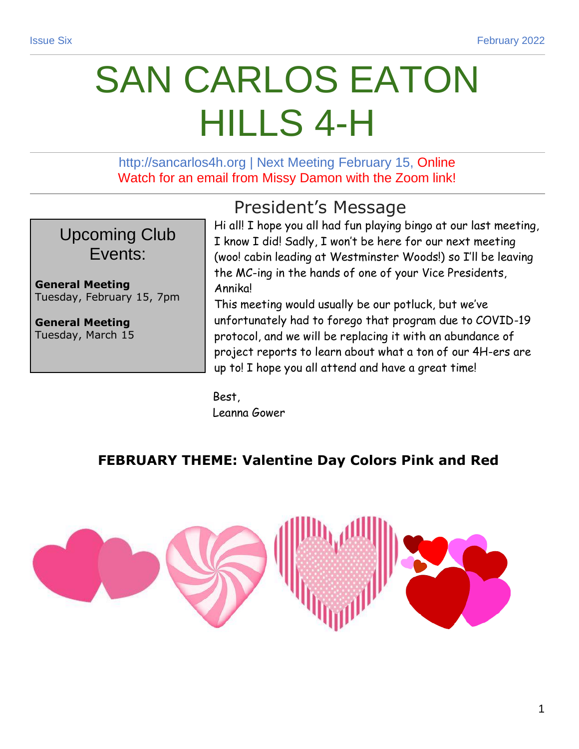# SAN CARLOS EATON HILLS 4-H

http://sancarlos4h.org | Next Meeting February 15, Online Watch for an email from Missy Damon with the Zoom link!

Upcoming Club Events:

**General Meeting** Tuesday, February 15, 7pm

**General Meeting** Tuesday, March 15 President's Message

Hi all! I hope you all had fun playing bingo at our last meeting, I know I did! Sadly, I won't be here for our next meeting (woo! cabin leading at Westminster Woods!) so I'll be leaving the MC-ing in the hands of one of your Vice Presidents, **Annikal** 

This meeting would usually be our potluck, but we've unfortunately had to forego that program due to COVID-19 protocol, and we will be replacing it with an abundance of project reports to learn about what a ton of our 4H-ers are up to! I hope you all attend and have a great time!

Best, Leanna Gower

### **FEBRUARY THEME: Valentine Day Colors Pink and Red**

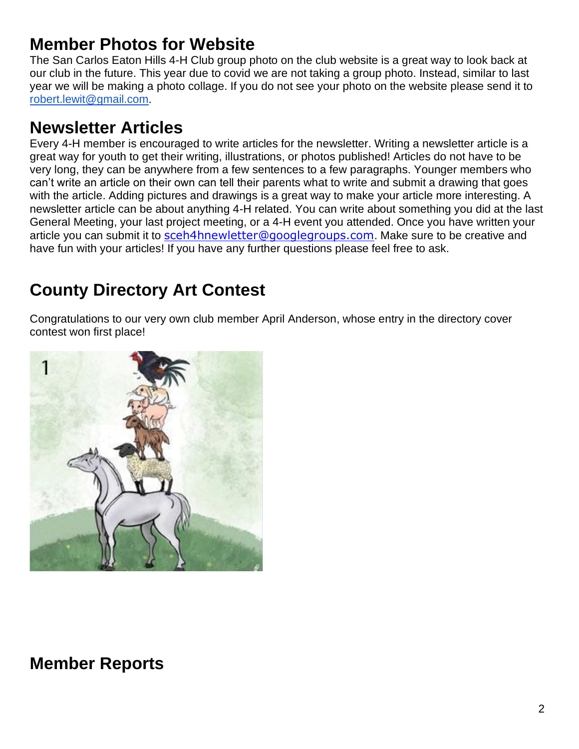# **Member Photos for Website**

The San Carlos Eaton Hills 4-H Club group photo on the club website is a great way to look back at our club in the future. This year due to covid we are not taking a group photo. Instead, similar to last year we will be making a photo collage. If you do not see your photo on the website please send it to [robert.lewit@gmail.com](mailto:robert.lewit@gmail.com).

# **Newsletter Articles**

Every 4-H member is encouraged to write articles for the newsletter. Writing a newsletter article is a great way for youth to get their writing, illustrations, or photos published! Articles do not have to be very long, they can be anywhere from a few sentences to a few paragraphs. Younger members who can't write an article on their own can tell their parents what to write and submit a drawing that goes with the article. Adding pictures and drawings is a great way to make your article more interesting. A newsletter article can be about anything 4-H related. You can write about something you did at the last General Meeting, your last project meeting, or a 4-H event you attended. Once you have written your article you can submit it to [sceh4hnewletter@googlegroups.com](mailto:sceh4hnewletter@googlegroups.com). Make sure to be creative and have fun with your articles! If you have any further questions please feel free to ask.

# **County Directory Art Contest**

Congratulations to our very own club member April Anderson, whose entry in the directory cover contest won first place!



## **Member Reports**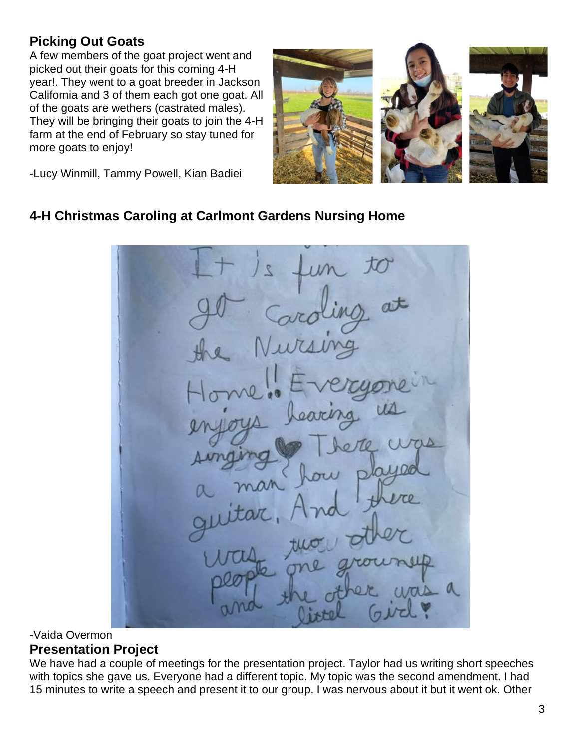### **Picking Out Goats**

A few members of the goat project went and picked out their goats for this coming 4-H year!. They went to a goat breeder in Jackson California and 3 of them each got one goat. All of the goats are wethers (castrated males). They will be bringing their goats to join the 4-H farm at the end of February so stay tuned for more goats to enjoy!



-Lucy Winmill, Tammy Powell, Kian Badiei

#### **4-H Christmas Caroling at Carlmont Gardens Nursing Home**

#### -Vaida Overmon **Presentation Project**

We have had a couple of meetings for the presentation project. Taylor had us writing short speeches with topics she gave us. Everyone had a different topic. My topic was the second amendment. I had 15 minutes to write a speech and present it to our group. I was nervous about it but it went ok. Other